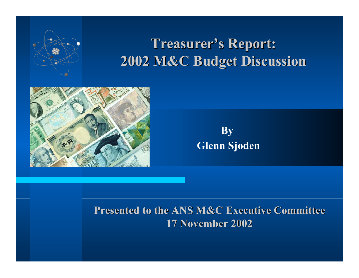

### **Treasurer's Report: Treasurer's Report: 2002 M&C Budget Discussion 2002 M&C Budget Discussion**



 **By Glenn Sjoden**

#### **Presented to the ANS M&C Executive Committee Presented to the ANS M&C Executive Committee 17 November 2002 17 November 2002**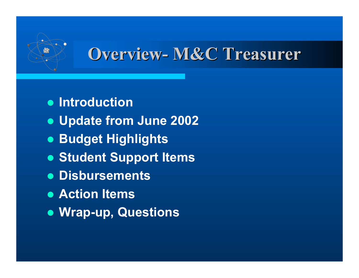## **Overview- M&C Treasurer Overview- M&C Treasurer**

- $\bullet$  **Introduction**
- z **Update from June 2002**
- **Budget Highlights**
- **Student Support Items**
- z **Disbursements**
- **Action Items**
- z **Wrap-up, Questions**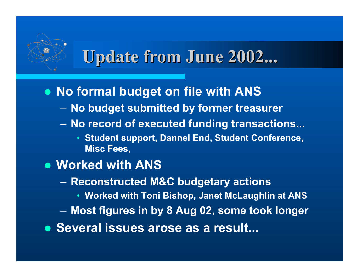## **Update from June 2002... Update from June 2002...**

• No formal budget on file with ANS

- **No budget submitted by former treasurer**
- **No record of executed funding transactions...**
	- **Student support, Dannel End, Student Conference, Misc Fees,**
- $\bullet$  **Worked with ANS** 
	- **Reconstructed M&C budgetary actions**
		- **Worked with Toni Bishop, Janet McLaughlin at ANS**
	- **Most figures in by 8 Aug 02, some took longer**
- **Several issues arose as a result...**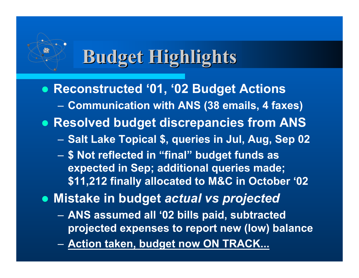# **Budget Highlights Budget Highlights**

**• Reconstructed '01, '02 Budget Actions** – **Communication with ANS (38 emails, 4 faxes) • Resolved budget discrepancies from ANS** – **Salt Lake Topical \$, queries in Jul, Aug, Sep 02** – **\$ Not reflected in "final" budget funds as expected in Sep; additional queries made; \$11,212 finally allocated to M&C in October '02** <sup>z</sup> **Mistake in budget** *actual vs projected*

- **ANS assumed all '02 bills paid, subtracted projected expenses to report new (low) balance**
- **Action taken, budget now ON TRACK...**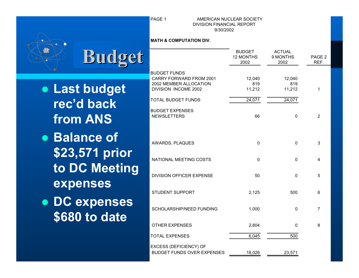$\bullet$   $\sim$ 

#### **PAGE 1** AMERICAN NUCLEAR SOCIETY DIVISION FINANCIAL REPORT 9/30/2002

#### **MATH & COMPUTATION DIV.**

| <b>Budget</b>                  |                                                                                                         | <b>BUDGET</b><br><b>12 MONTHS</b><br>2002 | <b>ACTUAL</b><br>9 MONTHS<br>2002 | PAGE <sub>2</sub><br>REF. |
|--------------------------------|---------------------------------------------------------------------------------------------------------|-------------------------------------------|-----------------------------------|---------------------------|
| • Last budget                  | <b>BUDGET FUNDS</b><br><b>CARRY FORWARD FROM 2001</b><br>2002 MEMBER ALLOCATION<br>DIVISION INCOME 2002 | 12,040<br>819<br>11,212                   | 12,040<br>819<br>11,212           | 1                         |
| rec'd back<br><b>from ANS</b>  | <b>TOTAL BUDGET FUNDS</b><br><b>BUDGET EXPENSES</b><br><b>NEWSLETTERS</b>                               | 24,071<br>66                              | 24,071<br>$\Omega$                | 2                         |
| • Balance of<br>\$23,571 prior | AWARDS, PLAQUES                                                                                         | $\Omega$                                  | $\Omega$                          | 3                         |
| to DC Meeting                  | NATIONAL MEETING COSTS<br><b>DIVISION OFFICER EXPENSE</b>                                               | $\Omega$<br>50                            | $\Omega$<br>$\mathbf 0$           | 4<br>5                    |
| expenses<br>• DC expenses      | <b>STUDENT SUPPORT</b>                                                                                  | 2,125                                     | 500                               | 6                         |
| \$680 to date                  | <b>SCHOLARSHIP/NEED FUNDING</b><br><b>OTHER EXPENSES</b>                                                | 1,000<br>2,804                            | $\Omega$<br>$\mathbf 0$           | $\overline{7}$<br>8       |
|                                | <b>TOTAL EXPENSES</b><br>EXCESS (DEFICIENCY) OF                                                         | 6,045                                     | 500                               |                           |
|                                | <b>BUDGET FUNDS OVER EXPENSES</b>                                                                       | 18,026                                    | 23,571                            |                           |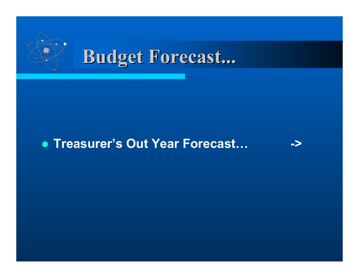

# **Budget Forecast... Budget Forecast...**

### z **Treasurer's Out Year Forecast… ->**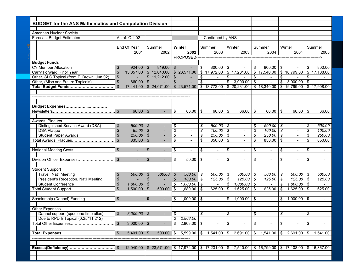| <b>BUDGET for the ANS Mathematics and Computation Division</b> |                                                                   |                            |                      |                |                                                  |                     |                          |                               |                           |                          |                          |                       |                                    |                          |                                                                  |                 |                          |
|----------------------------------------------------------------|-------------------------------------------------------------------|----------------------------|----------------------|----------------|--------------------------------------------------|---------------------|--------------------------|-------------------------------|---------------------------|--------------------------|--------------------------|-----------------------|------------------------------------|--------------------------|------------------------------------------------------------------|-----------------|--------------------------|
|                                                                |                                                                   |                            |                      |                |                                                  |                     |                          |                               |                           |                          |                          |                       |                                    |                          |                                                                  |                 |                          |
|                                                                | <b>American Nuclear Society</b>                                   |                            |                      |                |                                                  |                     |                          |                               |                           |                          |                          |                       |                                    |                          |                                                                  |                 |                          |
| <b>Forecast Budget Estimates</b>                               |                                                                   | As of: Oct 02              |                      |                |                                                  | = Confirmed by ANS  |                          |                               |                           |                          |                          |                       |                                    |                          |                                                                  |                 |                          |
|                                                                |                                                                   | End Of Year                |                      |                | Summer                                           | Winter              |                          | Summer                        |                           | Winter                   |                          | Summer                |                                    | Winter                   |                                                                  |                 | Summer                   |
|                                                                |                                                                   |                            | 2001                 |                | 2002                                             |                     | 2002                     |                               | 2003                      |                          | 2003                     |                       | 2004                               |                          | 2004                                                             |                 | 2005                     |
|                                                                |                                                                   |                            |                      |                |                                                  |                     |                          |                               |                           |                          |                          |                       |                                    |                          |                                                                  |                 |                          |
|                                                                |                                                                   |                            |                      |                |                                                  |                     | PROPOSED--------------   |                               |                           |                          |                          |                       |                                    |                          |                                                                  |                 | -->                      |
| <b>Budget Funds</b>                                            |                                                                   |                            |                      |                |                                                  |                     |                          |                               |                           |                          |                          |                       |                                    |                          |                                                                  |                 |                          |
| <b>CY Member Allocation</b>                                    |                                                                   | \$                         | 924.00 \$            |                | 819.00                                           | $\mathfrak{S}$      |                          | \$                            | 800.00                    | \$                       | $\sim$                   | $\overline{\$}$       | 800.00                             | \$                       | $\sim$                                                           | \$              | 800.00                   |
| Carry Forward, Prior Year                                      |                                                                   |                            | 15.857.00            |                | \$12,040.00                                      |                     |                          |                               | $$23,571.00$ $$17,972.00$ |                          | \$17,231.00              |                       | \$17,540.00                        | \$                       | 16,799.00                                                        |                 | \$17,108.00              |
| Other, SLC Topical (from F. Brown, Jun 02)                     |                                                                   | \$                         |                      |                | \$11,212.00                                      | \$                  | $\blacksquare$           | \$<br>$\overline{\mathbf{s}}$ | $\blacksquare$            | \$                       | $\sim$                   | \$<br>$\overline{\$}$ | $\blacksquare$                     | \$                       |                                                                  | \$              |                          |
| Other, (Misc and Future Topicals)                              |                                                                   |                            | 660.00               | $\mathfrak{F}$ |                                                  |                     |                          |                               | $\blacksquare$            | $\overline{\mathcal{L}}$ | 3,000.00                 |                       |                                    | $\overline{\mathcal{L}}$ | 3,000.00                                                         | $\overline{\$}$ |                          |
|                                                                |                                                                   | \$                         |                      |                | 17,441.00 \$ 24,071.00 \$ 23,571.00 \$ 18,772.00 |                     |                          |                               |                           |                          | \$20,231.00              |                       | \$18,340.00                        |                          | $\frac{1}{19,799.00}$                                            |                 | \$17,908.00              |
|                                                                |                                                                   |                            |                      |                |                                                  |                     |                          |                               |                           |                          |                          |                       |                                    |                          |                                                                  |                 |                          |
|                                                                |                                                                   |                            |                      |                |                                                  |                     |                          |                               |                           |                          |                          |                       |                                    |                          |                                                                  |                 |                          |
|                                                                |                                                                   |                            |                      |                |                                                  |                     |                          |                               |                           |                          |                          |                       |                                    |                          |                                                                  |                 |                          |
|                                                                |                                                                   | \$                         | 66.00 \$             |                |                                                  |                     | 66.00                    |                               | 66.00                     |                          |                          |                       | 66.00                              |                          |                                                                  |                 | 66.00                    |
|                                                                |                                                                   |                            |                      |                |                                                  | \$                  |                          | \$                            |                           | \$                       | 66.00                    | \$                    |                                    | \$                       | 66.00                                                            | \$              |                          |
|                                                                |                                                                   |                            |                      |                |                                                  |                     |                          |                               |                           |                          |                          |                       |                                    |                          |                                                                  |                 |                          |
|                                                                | Awards, Plaques<br>Distinguished Service Award (DSA)              |                            |                      |                |                                                  |                     |                          |                               |                           |                          |                          |                       | $500.00$ \$                        |                          |                                                                  |                 |                          |
|                                                                |                                                                   | \$                         | 500.00               | \$             |                                                  | \$                  | $\blacksquare$           | \$                            | $500.00$ \$               |                          | $\overline{\phantom{a}}$ | \$                    |                                    |                          | $\overline{\phantom{a}}$                                         | \$              | 500.00                   |
|                                                                | <b>DSA Plaque</b>                                                 | \$<br>\$                   | 85.00                | \$             |                                                  | \$                  | $\overline{\phantom{a}}$ | \$                            | 100.00                    | \$                       |                          | \$                    | 100.00                             | \$                       |                                                                  | \$              | 100.00                   |
|                                                                | <b>Student Paper Awards</b>                                       |                            | 250.00               | \$             |                                                  | \$                  | $\blacksquare$           | \$                            | $250.00$ \$               |                          | $\blacksquare$           | \$                    | $250.00$ \$                        |                          | $\blacksquare$                                                   | \$              | 250.00                   |
|                                                                | Total Awards, Plaques                                             |                            | 835.00               | \$             |                                                  | \$                  |                          | \$                            | 850.00                    | \$                       | $\blacksquare$           | \$                    | 850.00                             | \$                       |                                                                  | \$              | 850.00                   |
|                                                                |                                                                   |                            |                      |                |                                                  |                     |                          |                               |                           |                          |                          |                       |                                    |                          |                                                                  |                 |                          |
|                                                                | National Meeting Costs                                            | \$                         | $\blacksquare$       | $\mathfrak{L}$ | $\sim$                                           | \$                  |                          | \$                            | $\sim$                    | \$                       |                          | \$                    | $\sim$                             | \$                       |                                                                  | \$              | $\blacksquare$           |
|                                                                | Division Officer Expenses                                         | \$                         |                      | \$             | $\overline{\phantom{a}}$                         | \$                  | 50.00                    | \$                            |                           | \$                       |                          | \$                    | $\blacksquare$                     | \$                       | $\blacksquare$                                                   | \$              |                          |
|                                                                |                                                                   |                            | $\blacksquare$       |                |                                                  |                     |                          |                               | $\sim$                    |                          | $\blacksquare$           |                       |                                    |                          |                                                                  |                 | $\sim$                   |
|                                                                |                                                                   |                            |                      |                |                                                  |                     |                          |                               |                           |                          |                          |                       |                                    |                          |                                                                  |                 |                          |
|                                                                | <b>Student Support</b><br>Travel, Nat'l Meeting                   |                            |                      |                |                                                  |                     |                          |                               |                           |                          |                          |                       |                                    |                          |                                                                  |                 |                          |
|                                                                |                                                                   | \$                         | 500.00               | $\mathcal{S}$  | 500.00                                           | $\mathcal{S}$<br>\$ | 500.00 \$<br>180.00 \$   |                               | 500.00<br>125.00          | \$<br>\$                 | 500.00<br>125.00         | \$<br>\$              | $500.00$ \ \$<br>$125.00$ \$       |                          | $500.00$ \ \$<br>$125.00$ \$                                     |                 | 500.00<br>125.00         |
|                                                                | President's Reception, Nat'l Meeting<br><b>Student Conference</b> | $\boldsymbol{\mathcal{S}}$ |                      | \$             | $\blacksquare$                                   |                     |                          |                               |                           |                          | 7,000.00                 |                       |                                    |                          | $1,000.00$ \$                                                    |                 | $\blacksquare$           |
|                                                                |                                                                   | \$<br>\$                   | 1,000.00<br>1,500.00 | \$<br>\$       | $\blacksquare$<br>500.00                         | \$<br>\$            | 1,000.00<br>1,680.00     | \$<br>\$                      | $\blacksquare$<br>625.00  | \$<br>\$                 | 1,625.00                 | \$<br>\$              | $\overline{\phantom{a}}$<br>625.00 | \$<br>\$                 | 1,625.00                                                         | \$              | 625.00                   |
|                                                                |                                                                   |                            |                      |                |                                                  |                     |                          |                               |                           |                          |                          |                       |                                    |                          |                                                                  |                 |                          |
|                                                                | Scholarship (Dannel) Funding                                      | $\frac{1}{2}$              |                      | \$.            |                                                  | \$                  | 1,000.00                 | \$                            |                           | \$                       | 1,000.00                 | \$                    |                                    | \$                       | 1,000.00                                                         |                 |                          |
|                                                                |                                                                   |                            | $\sim$               |                |                                                  |                     |                          |                               | $\blacksquare$            |                          |                          |                       | $\blacksquare$                     |                          |                                                                  | \$              | $\blacksquare$           |
|                                                                |                                                                   |                            |                      |                |                                                  |                     |                          |                               |                           |                          |                          |                       |                                    |                          |                                                                  |                 |                          |
|                                                                | <b>Other Expenses</b><br>Dannel support (spec one time alloc)     |                            |                      |                |                                                  |                     |                          |                               |                           |                          |                          |                       |                                    |                          |                                                                  |                 |                          |
|                                                                |                                                                   | \$                         | 3,000.00             | $\mathcal{S}$  |                                                  | \$                  |                          | \$                            | $\overline{\phantom{a}}$  | \$                       | $\overline{\phantom{a}}$ | \$                    | $\overline{\phantom{a}}$           | \$                       | $\overline{\phantom{a}}$                                         | \$              | $\overline{\phantom{a}}$ |
|                                                                | Due to RPD fr Topical (0.25*11,212)                               |                            |                      |                |                                                  | \$                  | 2,803.00                 |                               |                           |                          |                          |                       |                                    |                          |                                                                  |                 |                          |
|                                                                |                                                                   | \$                         | $3,000.00$ \$        |                |                                                  | \$                  | 2,803.00                 | \$                            |                           | \$                       |                          | \$                    |                                    | \$                       |                                                                  | \$              | $\blacksquare$           |
|                                                                |                                                                   |                            |                      |                |                                                  |                     |                          |                               |                           |                          |                          |                       |                                    |                          |                                                                  |                 |                          |
|                                                                |                                                                   | $\sqrt[6]{\frac{1}{2}}$    | $5,401.00$ \$        |                | 500.00 \$                                        |                     | 5,599.00                 | \$                            | 1,541.00                  |                          | \$2,691.00               | \$                    | 1,541.00                           | \$                       | 2,691.00                                                         | \$              | 1,541.00                 |
|                                                                |                                                                   |                            |                      |                |                                                  |                     |                          |                               |                           |                          |                          |                       |                                    |                          |                                                                  |                 |                          |
|                                                                |                                                                   |                            |                      |                |                                                  |                     |                          |                               |                           |                          |                          |                       |                                    |                          |                                                                  |                 |                          |
|                                                                |                                                                   | \$                         |                      |                | 12,040.00 \$ 23,571.00 \$ 17,972.00              |                     |                          |                               |                           |                          |                          |                       |                                    |                          | $$17,231.00$ $$17,540.00$ $$16,799.00$ $$17,108.00$ $$16,367.00$ |                 |                          |
|                                                                |                                                                   |                            |                      |                |                                                  |                     |                          |                               |                           |                          |                          |                       |                                    |                          |                                                                  |                 |                          |
|                                                                |                                                                   |                            |                      |                |                                                  |                     |                          |                               |                           |                          |                          |                       |                                    |                          |                                                                  |                 |                          |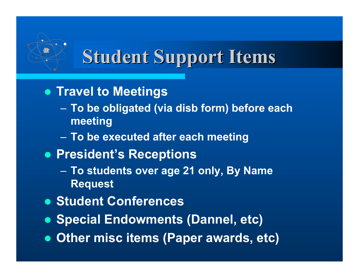# **Student Support Items Student Support Items**

- **Travel to Meetings** 
	- **To be obligated (via disb form) before each meeting**
	- **To be executed after each meeting**
- **President's Receptions** 
	- **To students over age 21 only, By Name Request**
- $\bullet$  **Student Conferences**
- **Special Endowments (Dannel, etc)**
- **Other misc items (Paper awards, etc)**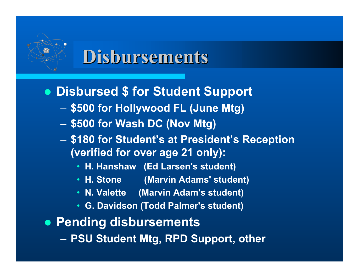# **Disbursements Disbursements**

- **Disbursed \$ for Student Support** 
	- **\$500 for Hollywood FL (June Mtg)**
	- **\$500 for Wash DC (Nov Mtg)**
	- **\$180 for Student's at President's Reception (verified for over age 21 only):**
		- **H. Hanshaw (Ed Larsen's student)**
		- **H. Stone (Marvin Adams' student)**
		- **N. Valette (Marvin Adam's student)**
		- **G. Davidson (Todd Palmer's student)**
- **Pending disbursements** – **PSU Student Mtg, RPD Support, other**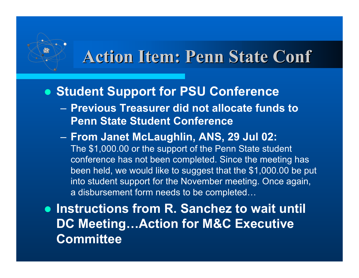### **Action Item: Penn State Conf**

### **• Student Support for PSU Conference**

- **Previous Treasurer did not allocate funds to Penn State Student Conference**
- **From Janet McLaughlin, ANS, 29 Jul 02:** The \$1,000.00 or the support of the Penn State student conference has not been completed. Since the meeting has been held, we would like to suggest that the \$1,000.00 be put into student support for the November meeting. Once again, a disbursement form needs to be completed…

**• Instructions from R. Sanchez to wait until DC Meeting…Action for M&C Executive Committee**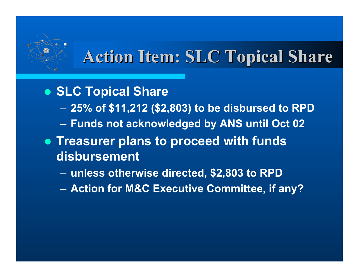# **Action Item: SLC Topical Share Action Item: SLC Topical Share**

### **• SLC Topical Share**

- **25% of \$11,212 (\$2,803) to be disbursed to RPD**
- **Funds not acknowledged by ANS until Oct 02**
- **Treasurer plans to proceed with funds disbursement**
	- **unless otherwise directed, \$2,803 to RPD**
	- **Action for M&C Executive Committee, if any?**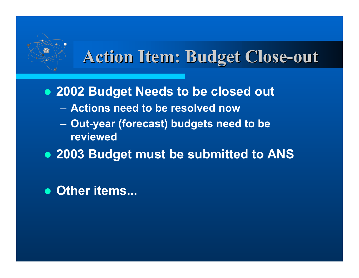### **Action Item: Budget Close-out Action Item: Budget Close-out**

**• 2002 Budget Needs to be closed out** 

- **Actions need to be resolved now**
- **Out-year (forecast) budgets need to be reviewed**
- **2003 Budget must be submitted to ANS**

**• Other items...**